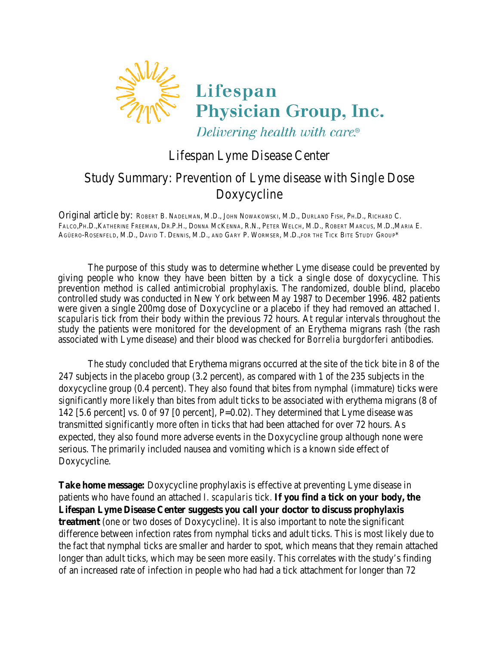

## Lifespan Lyme Disease Center

## Study Summary: Prevention of Lyme disease with Single Dose Doxycycline

Original article by: ROBERT B. NADELMAN, M.D., JOHN NOWAKOWSKI, M.D., DURLAND FISH, PH.D., RICHARD C. FALCO,PH.D.,KATHERINE FREEMAN, DR.P.H., DONNA MCKENNA, R.N., PETER WELCH, M.D., ROBERT MARCUS, M.D.,MARIA E. AGÜERO-ROSENFELD, M.D., DAVID T. DENNIS, M.D., AND GARY P. WORMSER, M.D.,FOR THE TICK BITE STUDY GROUP\*

The purpose of this study was to determine whether Lyme disease could be prevented by giving people who know they have been bitten by a tick a single dose of doxycycline. This prevention method is called antimicrobial prophylaxis. The randomized, double blind, placebo controlled study was conducted in New York between May 1987 to December 1996. 482 patients were given a single 200mg dose of Doxycycline or a placebo if they had removed an attached *I. scapularis* tick from their body within the previous 72 hours. At regular intervals throughout the study the patients were monitored for the development of an Erythema migrans rash (the rash associated with Lyme disease) and their blood was checked for *Borrelia burgdorferi* antibodies.

The study concluded that Erythema migrans occurred at the site of the tick bite in 8 of the 247 subjects in the placebo group (3.2 percent), as compared with 1 of the 235 subjects in the doxycycline group (0.4 percent). They also found that bites from nymphal (immature) ticks were significantly more likely than bites from adult ticks to be associated with erythema migrans (8 of 142 [5.6 percent] vs. 0 of 97 [0 percent], P=0.02). They determined that Lyme disease was transmitted significantly more often in ticks that had been attached for over 72 hours. As expected, they also found more adverse events in the Doxycycline group although none were serious. The primarily included nausea and vomiting which is a known side effect of Doxycycline.

**Take home message:** Doxycycline prophylaxis is effective at preventing Lyme disease in patients who have found an attached *I. scapularis* tick. **If you find a tick on your body, the Lifespan Lyme Disease Center suggests you call your doctor to discuss prophylaxis treatment** (one or two doses of Doxycycline). It is also important to note the significant difference between infection rates from nymphal ticks and adult ticks. This is most likely due to the fact that nymphal ticks are smaller and harder to spot, which means that they remain attached longer than adult ticks, which may be seen more easily. This correlates with the study's finding of an increased rate of infection in people who had had a tick attachment for longer than 72